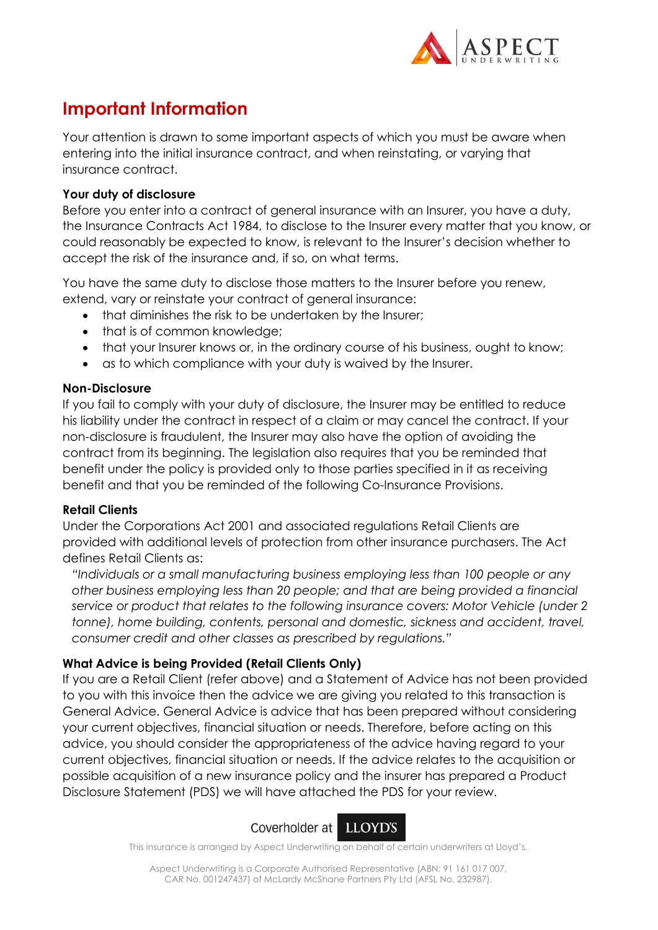

# **Important Information**

Your attention is drawn to some important aspects of which you must be aware when entering into the initial insurance contract, and when reinstating, or varying that insurance contract.

# **Your duty of disclosure**

Before you enter into a contract of general insurance with an Insurer, you have a duty, the Insurance Contracts Act 1984, to disclose to the Insurer every matter that you know, or could reasonably be expected to know, is relevant to the Insurer's decision whether to accept the risk of the insurance and, if so, on what terms.

You have the same duty to disclose those matters to the Insurer before you renew, extend, vary or reinstate your contract of general insurance:

- that diminishes the risk to be undertaken by the Insurer;
- that is of common knowledge;
- that your Insurer knows or, in the ordinary course of his business, ought to know;
- as to which compliance with your duty is waived by the Insurer.

## **Non-Disclosure**

If you fail to comply with your duty of disclosure, the Insurer may be entitled to reduce his liability under the contract in respect of a claim or may cancel the contract. If your non-disclosure is fraudulent, the Insurer may also have the option of avoiding the contract from its beginning. The legislation also requires that you be reminded that benefit under the policy is provided only to those parties specified in it as receiving benefit and that you be reminded of the following Co-Insurance Provisions.

# **Retail Clients**

Under the Corporations Act 2001 and associated regulations Retail Clients are provided with additional levels of protection from other insurance purchasers. The Act defines Retail Clients as:

*"Individuals or a small manufacturing business employing less than 100 people or any other business employing less than 20 people; and that are being provided a financial service or product that relates to the following insurance covers: Motor Vehicle (under 2 tonne), home building, contents, personal and domestic, sickness and accident, travel, consumer credit and other classes as prescribed by regulations."*

# **What Advice is being Provided (Retail Clients Only)**

If you are a Retail Client (refer above) and a Statement of Advice has not been provided to you with this invoice then the advice we are giving you related to this transaction is General Advice. General Advice is advice that has been prepared without considering your current objectives, financial situation or needs. Therefore, before acting on this advice, you should consider the appropriateness of the advice having regard to your current objectives, financial situation or needs. If the advice relates to the acquisition or possible acquisition of a new insurance policy and the insurer has prepared a Product Disclosure Statement (PDS) we will have attached the PDS for your review.



This insurance is arranged by Aspect Underwriting on behalf of certain underwriters at Lloyd's.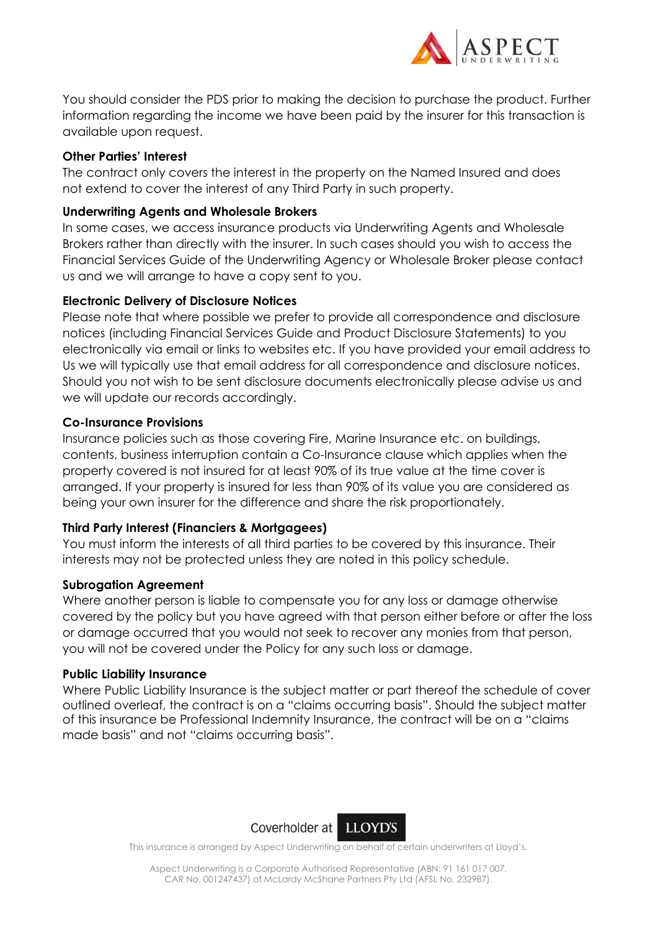

You should consider the PDS prior to making the decision to purchase the product. Further information regarding the income we have been paid by the insurer for this transaction is available upon request.

## **Other Parties' Interest**

The contract only covers the interest in the property on the Named Insured and does not extend to cover the interest of any Third Party in such property.

## **Underwriting Agents and Wholesale Brokers**

In some cases, we access insurance products via Underwriting Agents and Wholesale Brokers rather than directly with the insurer. In such cases should you wish to access the Financial Services Guide of the Underwriting Agency or Wholesale Broker please contact us and we will arrange to have a copy sent to you.

## **Electronic Delivery of Disclosure Notices**

Please note that where possible we prefer to provide all correspondence and disclosure notices (including Financial Services Guide and Product Disclosure Statements) to you electronically via email or links to websites etc. If you have provided your email address to Us we will typically use that email address for all correspondence and disclosure notices. Should you not wish to be sent disclosure documents electronically please advise us and we will update our records accordingly.

### **Co-Insurance Provisions**

Insurance policies such as those covering Fire, Marine Insurance etc. on buildings, contents, business interruption contain a Co-Insurance clause which applies when the property covered is not insured for at least 90% of its true value at the time cover is arranged. If your property is insured for less than 90% of its value you are considered as being your own insurer for the difference and share the risk proportionately.

# **Third Party Interest (Financiers & Mortgagees)**

You must inform the interests of all third parties to be covered by this insurance. Their interests may not be protected unless they are noted in this policy schedule.

### **Subrogation Agreement**

Where another person is liable to compensate you for any loss or damage otherwise covered by the policy but you have agreed with that person either before or after the loss or damage occurred that you would not seek to recover any monies from that person, you will not be covered under the Policy for any such loss or damage.

### **Public Liability Insurance**

Where Public Liability Insurance is the subject matter or part thereof the schedule of cover outlined overleaf, the contract is on a "claims occurring basis". Should the subject matter of this insurance be Professional Indemnity Insurance, the contract will be on a "claims made basis" and not "claims occurring basis".



This insurance is arranged by Aspect Underwriting on behalf of certain underwriters at Lloyd's.